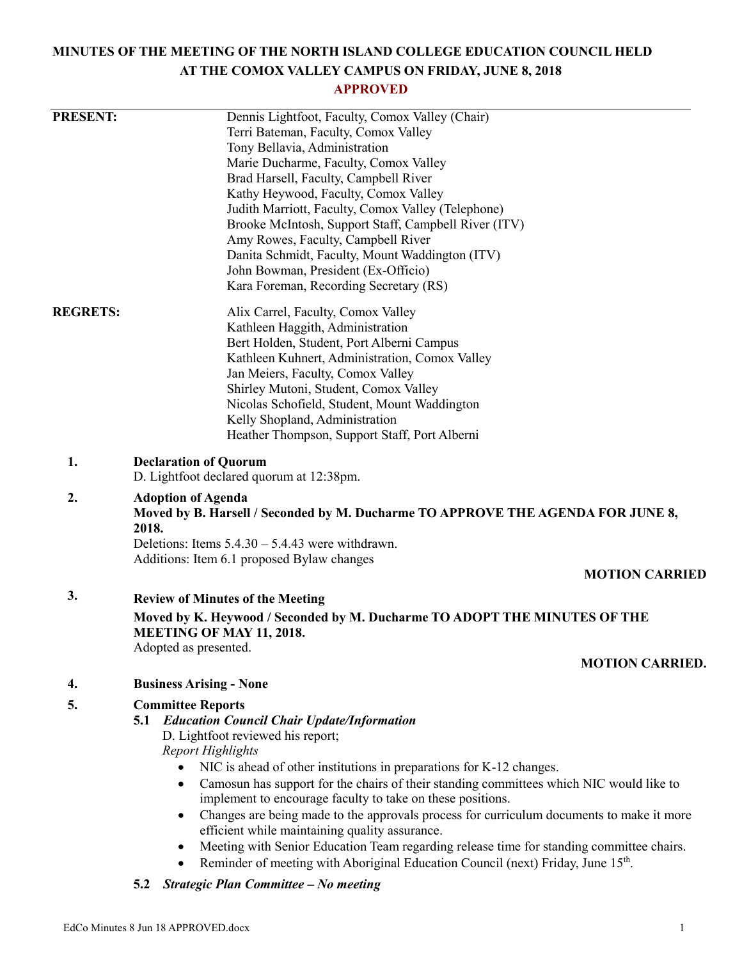# **MINUTES OF THE MEETING OF THE NORTH ISLAND COLLEGE EDUCATION COUNCIL HELD AT THE COMOX VALLEY CAMPUS ON FRIDAY, JUNE 8, 2018**

# **APPROVED**

| <b>PRESENT:</b> | Dennis Lightfoot, Faculty, Comox Valley (Chair)<br>Terri Bateman, Faculty, Comox Valley<br>Tony Bellavia, Administration<br>Marie Ducharme, Faculty, Comox Valley<br>Brad Harsell, Faculty, Campbell River<br>Kathy Heywood, Faculty, Comox Valley<br>Judith Marriott, Faculty, Comox Valley (Telephone)<br>Brooke McIntosh, Support Staff, Campbell River (ITV)<br>Amy Rowes, Faculty, Campbell River<br>Danita Schmidt, Faculty, Mount Waddington (ITV)                                                                                                                                                                                                                                                                                               |  |
|-----------------|---------------------------------------------------------------------------------------------------------------------------------------------------------------------------------------------------------------------------------------------------------------------------------------------------------------------------------------------------------------------------------------------------------------------------------------------------------------------------------------------------------------------------------------------------------------------------------------------------------------------------------------------------------------------------------------------------------------------------------------------------------|--|
|                 | John Bowman, President (Ex-Officio)<br>Kara Foreman, Recording Secretary (RS)                                                                                                                                                                                                                                                                                                                                                                                                                                                                                                                                                                                                                                                                           |  |
| <b>REGRETS:</b> | Alix Carrel, Faculty, Comox Valley<br>Kathleen Haggith, Administration<br>Bert Holden, Student, Port Alberni Campus<br>Kathleen Kuhnert, Administration, Comox Valley<br>Jan Meiers, Faculty, Comox Valley<br>Shirley Mutoni, Student, Comox Valley<br>Nicolas Schofield, Student, Mount Waddington<br>Kelly Shopland, Administration<br>Heather Thompson, Support Staff, Port Alberni                                                                                                                                                                                                                                                                                                                                                                  |  |
| 1.              | <b>Declaration of Quorum</b><br>D. Lightfoot declared quorum at 12:38pm.                                                                                                                                                                                                                                                                                                                                                                                                                                                                                                                                                                                                                                                                                |  |
| 2.              | <b>Adoption of Agenda</b><br>Moved by B. Harsell / Seconded by M. Ducharme TO APPROVE THE AGENDA FOR JUNE 8,<br>2018.<br>Deletions: Items $5.4.30 - 5.4.43$ were withdrawn.<br>Additions: Item 6.1 proposed Bylaw changes                                                                                                                                                                                                                                                                                                                                                                                                                                                                                                                               |  |
|                 | <b>MOTION CARRIED</b>                                                                                                                                                                                                                                                                                                                                                                                                                                                                                                                                                                                                                                                                                                                                   |  |
| 3.              | <b>Review of Minutes of the Meeting</b>                                                                                                                                                                                                                                                                                                                                                                                                                                                                                                                                                                                                                                                                                                                 |  |
|                 | Moved by K. Heywood / Seconded by M. Ducharme TO ADOPT THE MINUTES OF THE<br>MEETING OF MAY 11, 2018.<br>Adopted as presented.                                                                                                                                                                                                                                                                                                                                                                                                                                                                                                                                                                                                                          |  |
|                 | <b>MOTION CARRIED.</b>                                                                                                                                                                                                                                                                                                                                                                                                                                                                                                                                                                                                                                                                                                                                  |  |
| 4.              | <b>Business Arising - None</b>                                                                                                                                                                                                                                                                                                                                                                                                                                                                                                                                                                                                                                                                                                                          |  |
| 5.              | <b>Committee Reports</b><br><b>Education Council Chair Update/Information</b><br>5.1<br>D. Lightfoot reviewed his report;<br><b>Report Highlights</b><br>NIC is ahead of other institutions in preparations for K-12 changes.<br>$\bullet$<br>Camosun has support for the chairs of their standing committees which NIC would like to<br>$\bullet$<br>implement to encourage faculty to take on these positions.<br>Changes are being made to the approvals process for curriculum documents to make it more<br>٠<br>efficient while maintaining quality assurance.<br>Meeting with Senior Education Team regarding release time for standing committee chairs.<br>٠<br>Reminder of meeting with Aboriginal Education Council (next) Friday, June 15th. |  |

# **5.2** *Strategic Plan Committee – No meeting*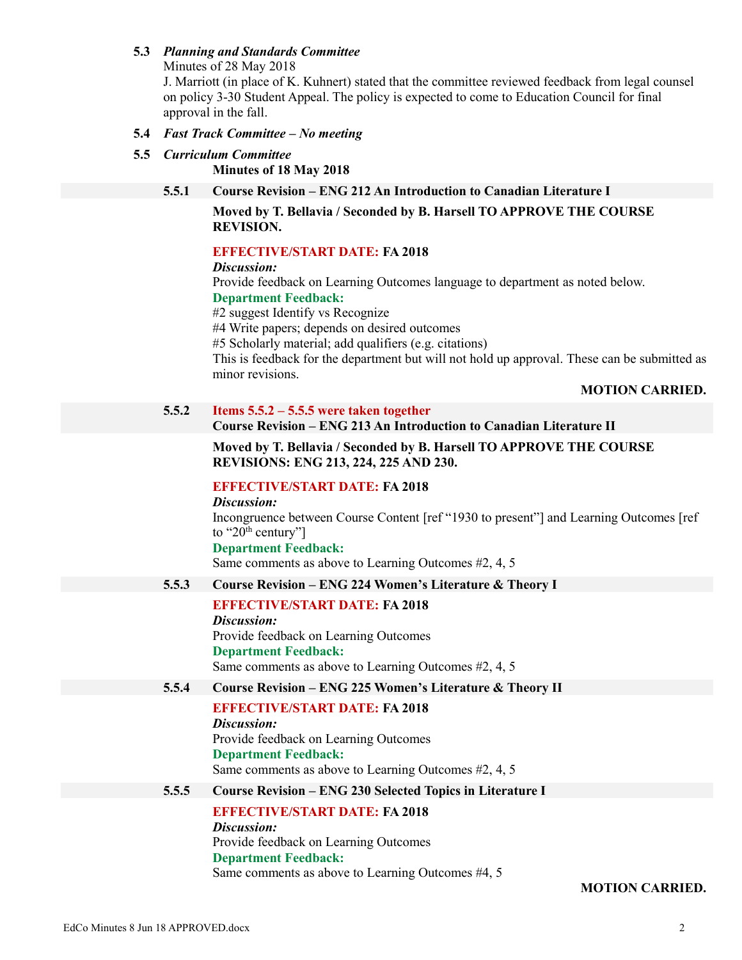# **5.3** *Planning and Standards Committee*

Minutes of 28 May 2018

J. Marriott (in place of K. Kuhnert) stated that the committee reviewed feedback from legal counsel on policy 3-30 Student Appeal. The policy is expected to come to Education Council for final approval in the fall.

- **5.4** *Fast Track Committee – No meeting*
- **5.5** *Curriculum Committee*

**Minutes of 18 May 2018**

**5.5.1 Course Revision – ENG 212 An Introduction to Canadian Literature I**

**Moved by T. Bellavia / Seconded by B. Harsell TO APPROVE THE COURSE REVISION.**

### **EFFECTIVE/START DATE: FA 2018**

*Discussion:*

Provide feedback on Learning Outcomes language to department as noted below. **Department Feedback:**

#2 suggest Identify vs Recognize

#4 Write papers; depends on desired outcomes

#5 Scholarly material; add qualifiers (e.g. citations)

This is feedback for the department but will not hold up approval. These can be submitted as minor revisions.

# **MOTION CARRIED.**

#### **5.5.2 Items 5.5.2 – 5.5.5 were taken together Course Revision – ENG 213 An Introduction to Canadian Literature II**

**Moved by T. Bellavia / Seconded by B. Harsell TO APPROVE THE COURSE REVISIONS: ENG 213, 224, 225 AND 230.**

# **EFFECTIVE/START DATE: FA 2018**

#### *Discussion:*

Incongruence between Course Content [ref "1930 to present"] and Learning Outcomes [ref to " $20<sup>th</sup>$  century"]

### **Department Feedback:**

Same comments as above to Learning Outcomes #2, 4, 5

# **5.5.3 Course Revision – ENG 224 Women's Literature & Theory I**

# **EFFECTIVE/START DATE: FA 2018**

*Discussion:* Provide feedback on Learning Outcomes **Department Feedback:** Same comments as above to Learning Outcomes #2, 4, 5

# **5.5.4 Course Revision – ENG 225 Women's Literature & Theory II**

### **EFFECTIVE/START DATE: FA 2018**

*Discussion:* Provide feedback on Learning Outcomes **Department Feedback:** Same comments as above to Learning Outcomes #2, 4, 5

### **5.5.5 Course Revision – ENG 230 Selected Topics in Literature I**

**EFFECTIVE/START DATE: FA 2018**

*Discussion:* Provide feedback on Learning Outcomes **Department Feedback:** Same comments as above to Learning Outcomes #4, 5

### **MOTION CARRIED.**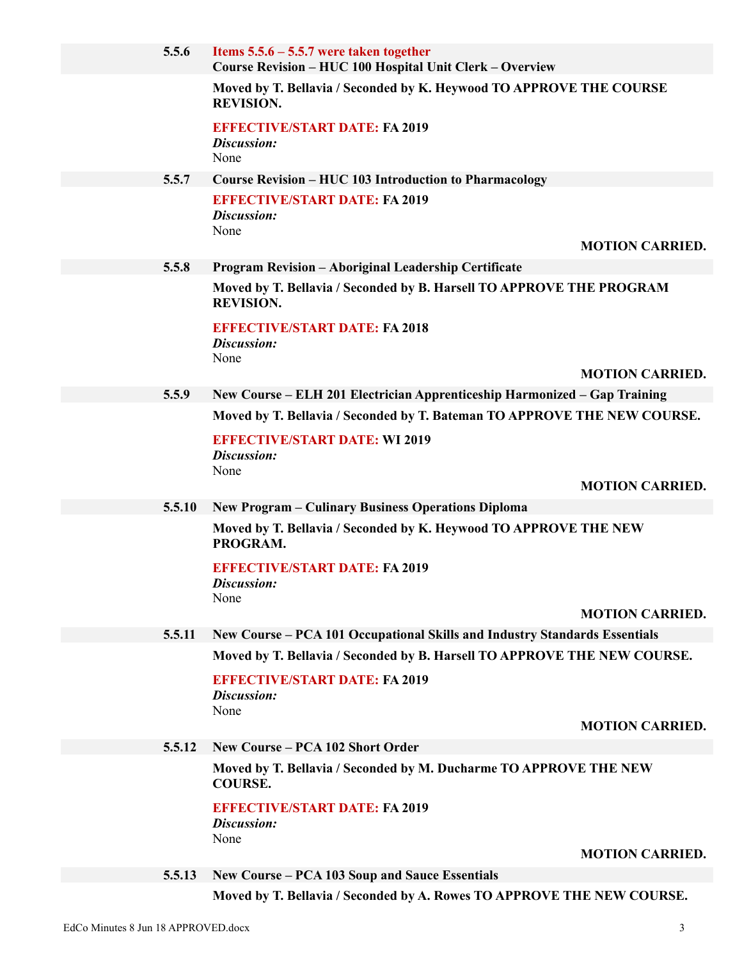| 5.5.6  | Items $5.5.6 - 5.5.7$ were taken together<br>Course Revision - HUC 100 Hospital Unit Clerk - Overview |                        |
|--------|-------------------------------------------------------------------------------------------------------|------------------------|
|        | Moved by T. Bellavia / Seconded by K. Heywood TO APPROVE THE COURSE<br><b>REVISION.</b>               |                        |
|        | <b>EFFECTIVE/START DATE: FA 2019</b><br>Discussion:<br>None                                           |                        |
| 5.5.7  | <b>Course Revision - HUC 103 Introduction to Pharmacology</b>                                         |                        |
|        | <b>EFFECTIVE/START DATE: FA 2019</b>                                                                  |                        |
|        | Discussion:                                                                                           |                        |
|        | None                                                                                                  | <b>MOTION CARRIED.</b> |
| 5.5.8  | <b>Program Revision - Aboriginal Leadership Certificate</b>                                           |                        |
|        | Moved by T. Bellavia / Seconded by B. Harsell TO APPROVE THE PROGRAM<br><b>REVISION.</b>              |                        |
|        | <b>EFFECTIVE/START DATE: FA 2018</b><br>Discussion:                                                   |                        |
|        | None                                                                                                  | <b>MOTION CARRIED.</b> |
| 5.5.9  | New Course – ELH 201 Electrician Apprenticeship Harmonized – Gap Training                             |                        |
|        | Moved by T. Bellavia / Seconded by T. Bateman TO APPROVE THE NEW COURSE.                              |                        |
|        | <b>EFFECTIVE/START DATE: WI 2019</b><br>Discussion:                                                   |                        |
|        | None                                                                                                  | <b>MOTION CARRIED.</b> |
|        |                                                                                                       |                        |
| 5.5.10 | <b>New Program – Culinary Business Operations Diploma</b>                                             |                        |
|        | Moved by T. Bellavia / Seconded by K. Heywood TO APPROVE THE NEW<br>PROGRAM.                          |                        |
|        | <b>EFFECTIVE/START DATE: FA 2019</b>                                                                  |                        |
|        | Discussion:<br>None                                                                                   |                        |
|        |                                                                                                       | <b>MOTION CARRIED.</b> |
| 5.5.11 | New Course – PCA 101 Occupational Skills and Industry Standards Essentials                            |                        |
|        | Moved by T. Bellavia / Seconded by B. Harsell TO APPROVE THE NEW COURSE.                              |                        |
|        | <b>EFFECTIVE/START DATE: FA 2019</b><br>Discussion:                                                   |                        |
|        | None                                                                                                  | <b>MOTION CARRIED.</b> |
| 5.5.12 | <b>New Course - PCA 102 Short Order</b>                                                               |                        |
|        | Moved by T. Bellavia / Seconded by M. Ducharme TO APPROVE THE NEW<br><b>COURSE.</b>                   |                        |
|        | <b>EFFECTIVE/START DATE: FA 2019</b><br>Discussion:                                                   |                        |
|        | None                                                                                                  | <b>MOTION CARRIED.</b> |
| 5.5.13 | New Course – PCA 103 Soup and Sauce Essentials                                                        |                        |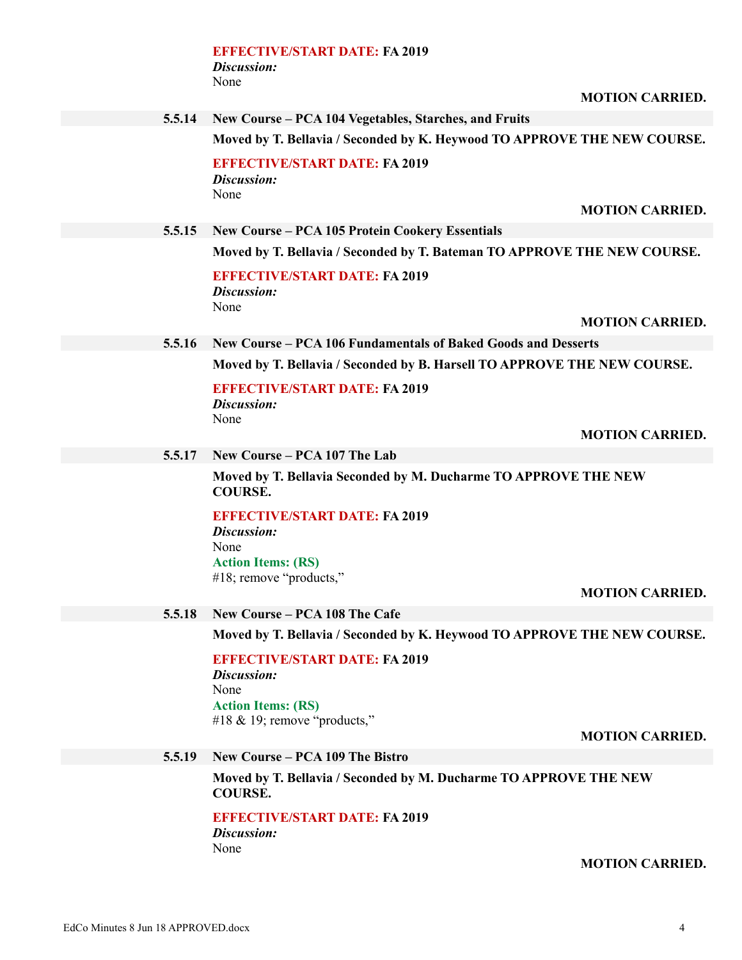### **EFFECTIVE/START DATE: FA 2019** *Discussion:* None

# **5.5.14 New Course – PCA 104 Vegetables, Starches, and Fruits**

**Moved by T. Bellavia / Seconded by K. Heywood TO APPROVE THE NEW COURSE.**

**EFFECTIVE/START DATE: FA 2019** *Discussion:* None

**MOTION CARRIED.**

## **5.5.15 New Course – PCA 105 Protein Cookery Essentials**

**Moved by T. Bellavia / Seconded by T. Bateman TO APPROVE THE NEW COURSE.**

**EFFECTIVE/START DATE: FA 2019** *Discussion:* None

**MOTION CARRIED.**

#### **5.5.16 New Course – PCA 106 Fundamentals of Baked Goods and Desserts**

**Moved by T. Bellavia / Seconded by B. Harsell TO APPROVE THE NEW COURSE.**

**EFFECTIVE/START DATE: FA 2019** *Discussion:*

None

#### **MOTION CARRIED.**

# **5.5.17 New Course – PCA 107 The Lab**

**Moved by T. Bellavia Seconded by M. Ducharme TO APPROVE THE NEW COURSE.**

# **EFFECTIVE/START DATE: FA 2019**

*Discussion:* None **Action Items: (RS)** #18; remove "products,"

#### **MOTION CARRIED.**

### **5.5.18 New Course – PCA 108 The Cafe**

**Moved by T. Bellavia / Seconded by K. Heywood TO APPROVE THE NEW COURSE.**

**EFFECTIVE/START DATE: FA 2019** *Discussion:* None **Action Items: (RS)** #18 & 19; remove "products,"

**MOTION CARRIED.**

# **5.5.19 New Course – PCA 109 The Bistro**

**Moved by T. Bellavia / Seconded by M. Ducharme TO APPROVE THE NEW COURSE.**

# **EFFECTIVE/START DATE: FA 2019**

*Discussion:* None

**MOTION CARRIED.**

# **MOTION CARRIED.**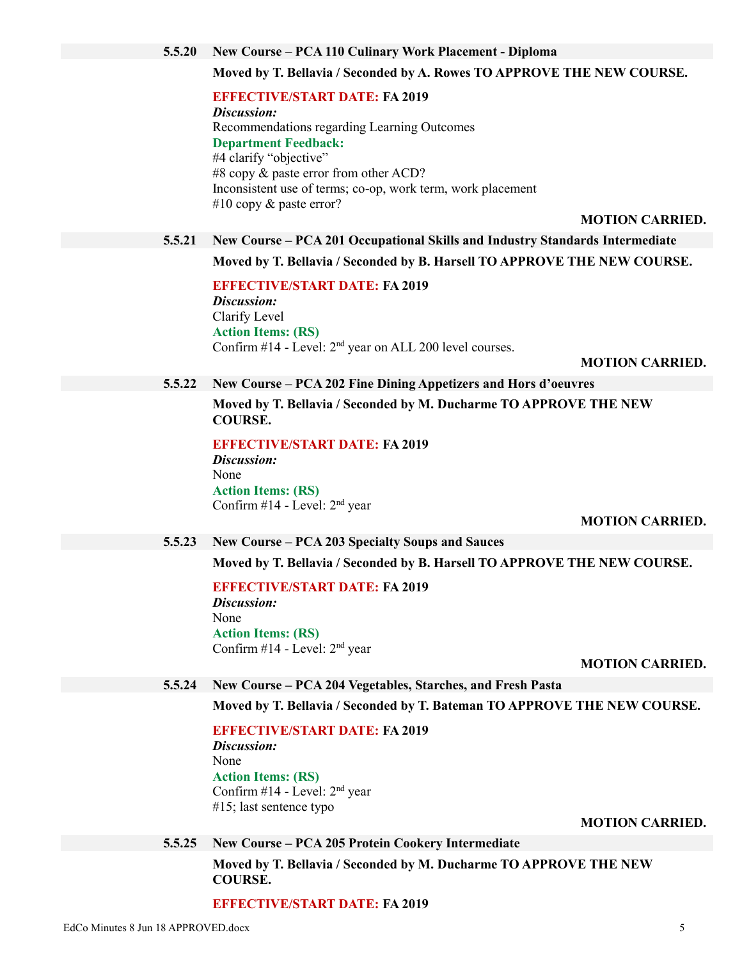#### **5.5.20 New Course – PCA 110 Culinary Work Placement - Diploma**

### **Moved by T. Bellavia / Seconded by A. Rowes TO APPROVE THE NEW COURSE.**

**EFFECTIVE/START DATE: FA 2019**

*Discussion:* Recommendations regarding Learning Outcomes **Department Feedback:** #4 clarify "objective" #8 copy & paste error from other ACD? Inconsistent use of terms; co-op, work term, work placement #10 copy & paste error?

**MOTION CARRIED.**

### **5.5.21 New Course – PCA 201 Occupational Skills and Industry Standards Intermediate**

**Moved by T. Bellavia / Seconded by B. Harsell TO APPROVE THE NEW COURSE.**

**EFFECTIVE/START DATE: FA 2019** *Discussion:* Clarify Level **Action Items: (RS)** Confirm  $\#14$  - Level:  $2<sup>nd</sup>$  year on ALL 200 level courses.

#### **MOTION CARRIED.**

#### **5.5.22 New Course – PCA 202 Fine Dining Appetizers and Hors d'oeuvres**

**Moved by T. Bellavia / Seconded by M. Ducharme TO APPROVE THE NEW COURSE.**

**EFFECTIVE/START DATE: FA 2019** *Discussion:* None **Action Items: (RS)** Confirm  $#14$  - Level:  $2<sup>nd</sup>$  year

**MOTION CARRIED.**

#### **5.5.23 New Course – PCA 203 Specialty Soups and Sauces**

**Moved by T. Bellavia / Seconded by B. Harsell TO APPROVE THE NEW COURSE.**

**EFFECTIVE/START DATE: FA 2019** *Discussion:* None **Action Items: (RS)** Confirm #14 - Level: 2nd year

**MOTION CARRIED.**

#### **5.5.24 New Course – PCA 204 Vegetables, Starches, and Fresh Pasta**

**Moved by T. Bellavia / Seconded by T. Bateman TO APPROVE THE NEW COURSE.**

**EFFECTIVE/START DATE: FA 2019** *Discussion:* None **Action Items: (RS)** Confirm #14 - Level: 2nd year #15; last sentence typo

**MOTION CARRIED.**

### **5.5.25 New Course – PCA 205 Protein Cookery Intermediate**

**Moved by T. Bellavia / Seconded by M. Ducharme TO APPROVE THE NEW COURSE.**

### **EFFECTIVE/START DATE: FA 2019**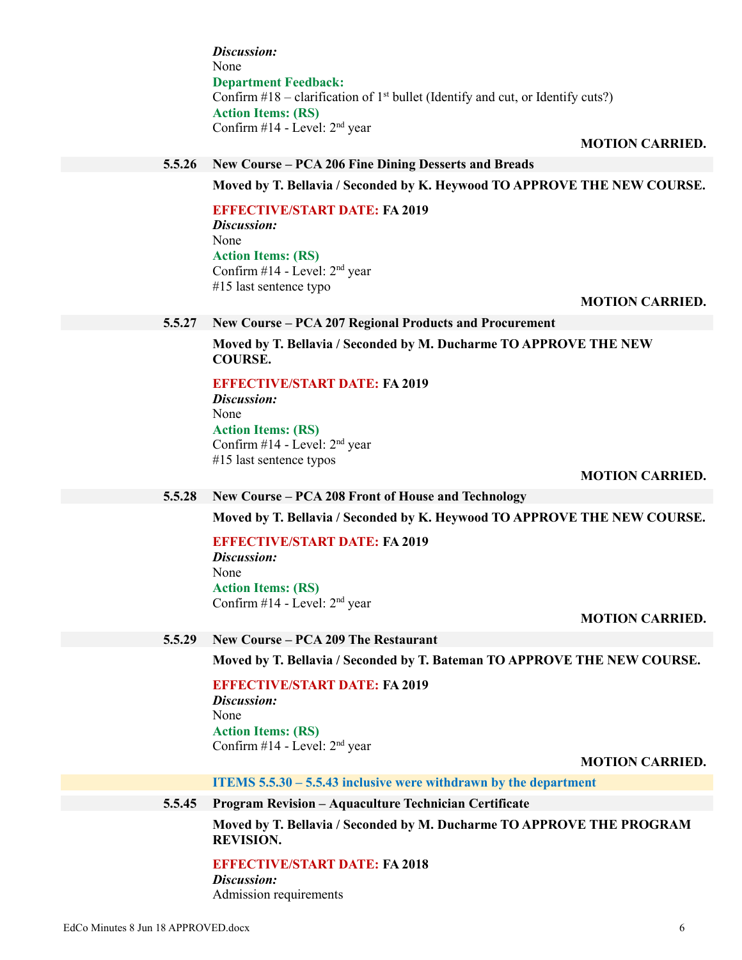*Discussion:* None **Department Feedback:** Confirm  $\#18$  – clarification of 1<sup>st</sup> bullet (Identify and cut, or Identify cuts?) **Action Items: (RS)** Confirm #14 - Level: 2nd year

### **MOTION CARRIED.**

# **5.5.26 New Course – PCA 206 Fine Dining Desserts and Breads**

**Moved by T. Bellavia / Seconded by K. Heywood TO APPROVE THE NEW COURSE.**

**EFFECTIVE/START DATE: FA 2019** *Discussion:* None **Action Items: (RS)** Confirm  $\#14$  - Level:  $2<sup>nd</sup>$  year #15 last sentence typo

# **MOTION CARRIED.**

### **5.5.27 New Course – PCA 207 Regional Products and Procurement**

**Moved by T. Bellavia / Seconded by M. Ducharme TO APPROVE THE NEW COURSE.**

#### **EFFECTIVE/START DATE: FA 2019** *Discussion:*

None **Action Items: (RS)** Confirm #14 - Level: 2nd year #15 last sentence typos

#### **MOTION CARRIED.**

### **5.5.28 New Course – PCA 208 Front of House and Technology**

**Moved by T. Bellavia / Seconded by K. Heywood TO APPROVE THE NEW COURSE.**

# **EFFECTIVE/START DATE: FA 2019**

*Discussion:* None **Action Items: (RS)** Confirm #14 - Level: 2nd year

#### **MOTION CARRIED.**

### **5.5.29 New Course – PCA 209 The Restaurant**

**Moved by T. Bellavia / Seconded by T. Bateman TO APPROVE THE NEW COURSE.**

**EFFECTIVE/START DATE: FA 2019** *Discussion:* None **Action Items: (RS)** Confirm #14 - Level: 2nd year

#### **MOTION CARRIED.**

**ITEMS 5.5.30 – 5.5.43 inclusive were withdrawn by the department**

#### **5.5.45 Program Revision – Aquaculture Technician Certificate**

**Moved by T. Bellavia / Seconded by M. Ducharme TO APPROVE THE PROGRAM REVISION.**

#### **EFFECTIVE/START DATE: FA 2018**

*Discussion:*

Admission requirements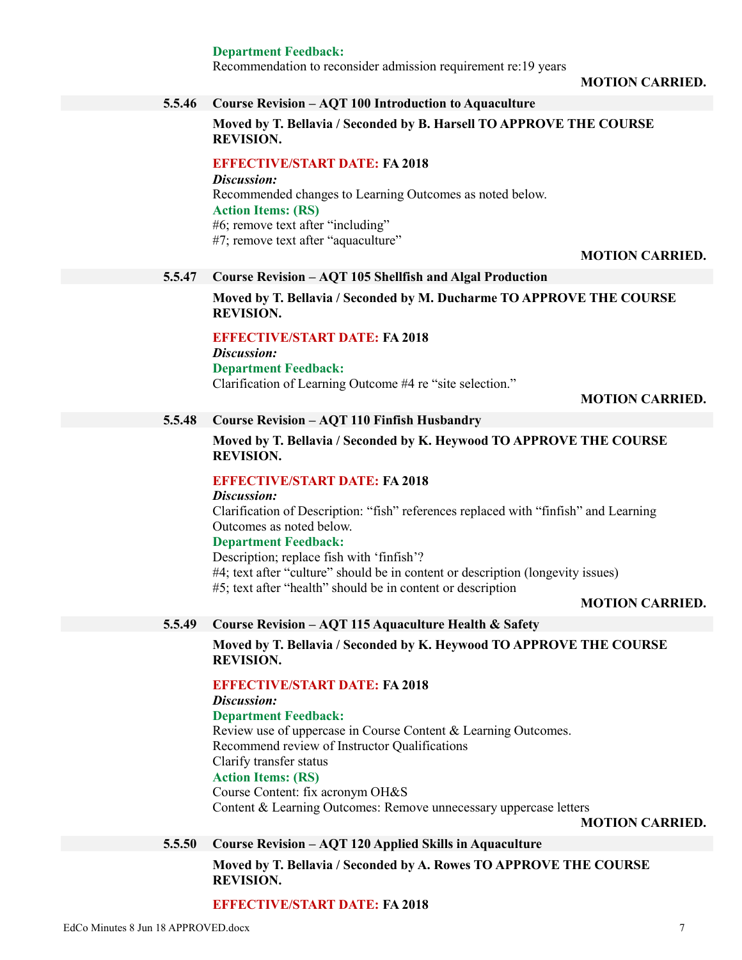**Department Feedback:**

Recommendation to reconsider admission requirement re:19 years

**MOTION CARRIED.**

# **5.5.46 Course Revision – AQT 100 Introduction to Aquaculture**

**Moved by T. Bellavia / Seconded by B. Harsell TO APPROVE THE COURSE REVISION.**

# **EFFECTIVE/START DATE: FA 2018**

*Discussion:* Recommended changes to Learning Outcomes as noted below. **Action Items: (RS)** #6; remove text after "including" #7; remove text after "aquaculture"

### **MOTION CARRIED.**

### **5.5.47 Course Revision – AQT 105 Shellfish and Algal Production**

**Moved by T. Bellavia / Seconded by M. Ducharme TO APPROVE THE COURSE REVISION.**

# **EFFECTIVE/START DATE: FA 2018**

*Discussion:* **Department Feedback:** Clarification of Learning Outcome #4 re "site selection."

**MOTION CARRIED.**

# **5.5.48 Course Revision – AQT 110 Finfish Husbandry**

**Moved by T. Bellavia / Seconded by K. Heywood TO APPROVE THE COURSE REVISION.**

# **EFFECTIVE/START DATE: FA 2018**

*Discussion:*

Clarification of Description: "fish" references replaced with "finfish" and Learning Outcomes as noted below.

### **Department Feedback:**

Description; replace fish with 'finfish'? #4; text after "culture" should be in content or description (longevity issues) #5; text after "health" should be in content or description

# **MOTION CARRIED.**

# **5.5.49 Course Revision – AQT 115 Aquaculture Health & Safety**

**Moved by T. Bellavia / Seconded by K. Heywood TO APPROVE THE COURSE REVISION.**

### **EFFECTIVE/START DATE: FA 2018**

*Discussion:*

# **Department Feedback:**

Review use of uppercase in Course Content & Learning Outcomes. Recommend review of Instructor Qualifications Clarify transfer status **Action Items: (RS)**

Course Content: fix acronym OH&S Content & Learning Outcomes: Remove unnecessary uppercase letters

**MOTION CARRIED.**

# **5.5.50 Course Revision – AQT 120 Applied Skills in Aquaculture**

# **Moved by T. Bellavia / Seconded by A. Rowes TO APPROVE THE COURSE REVISION.**

### **EFFECTIVE/START DATE: FA 2018**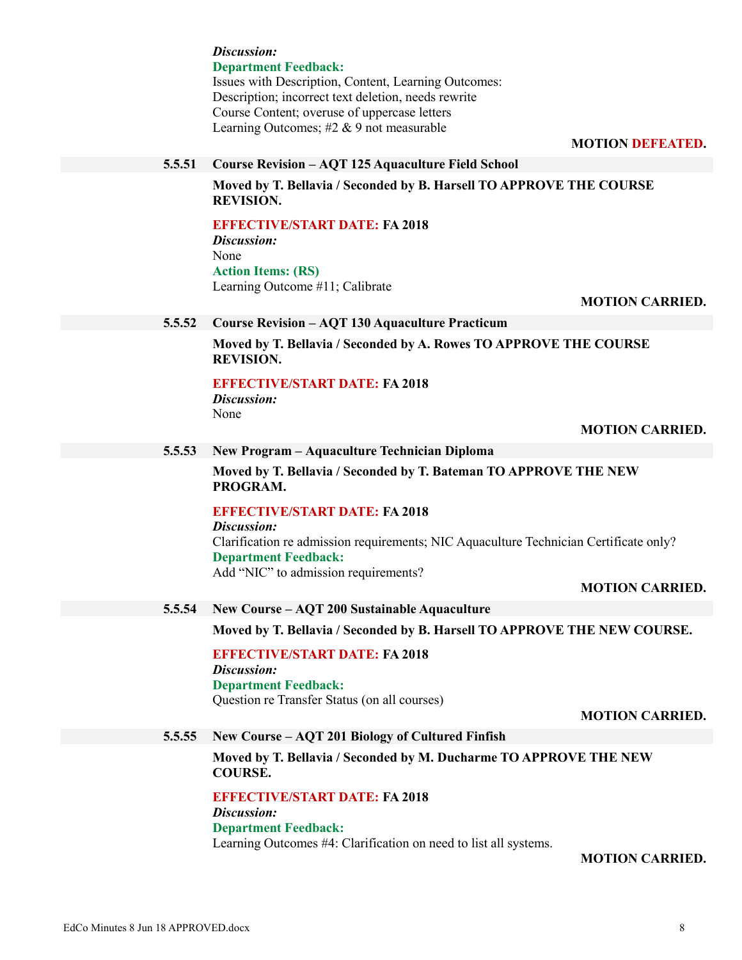|        | Discussion:                                                                             |
|--------|-----------------------------------------------------------------------------------------|
|        | <b>Department Feedback:</b>                                                             |
|        | Issues with Description, Content, Learning Outcomes:                                    |
|        | Description; incorrect text deletion, needs rewrite                                     |
|        | Course Content; overuse of uppercase letters                                            |
|        | Learning Outcomes; #2 & 9 not measurable                                                |
|        | <b>MOTION DEFEATED.</b>                                                                 |
| 5.5.51 | <b>Course Revision - AQT 125 Aquaculture Field School</b>                               |
|        |                                                                                         |
|        | Moved by T. Bellavia / Seconded by B. Harsell TO APPROVE THE COURSE<br><b>REVISION.</b> |
|        |                                                                                         |
|        | <b>EFFECTIVE/START DATE: FA 2018</b>                                                    |
|        | Discussion:<br>None                                                                     |
|        |                                                                                         |
|        | <b>Action Items: (RS)</b>                                                               |
|        | Learning Outcome #11; Calibrate                                                         |
|        | <b>MOTION CARRIED.</b>                                                                  |
| 5.5.52 | <b>Course Revision - AQT 130 Aquaculture Practicum</b>                                  |
|        | Moved by T. Bellavia / Seconded by A. Rowes TO APPROVE THE COURSE                       |
|        | <b>REVISION.</b>                                                                        |
|        | <b>EFFECTIVE/START DATE: FA 2018</b>                                                    |
|        | Discussion:                                                                             |
|        | None                                                                                    |
|        | <b>MOTION CARRIED.</b>                                                                  |
| 5.5.53 | New Program - Aquaculture Technician Diploma                                            |
|        |                                                                                         |
|        | Moved by T. Bellavia / Seconded by T. Bateman TO APPROVE THE NEW<br>PROGRAM.            |
|        | <b>EFFECTIVE/START DATE: FA 2018</b>                                                    |
|        | Discussion:                                                                             |
|        | Clarification re admission requirements; NIC Aquaculture Technician Certificate only?   |
|        | <b>Department Feedback:</b>                                                             |
|        | Add "NIC" to admission requirements?                                                    |
|        | <b>MOTION CARRIED.</b>                                                                  |
| 5.5.54 | New Course - AQT 200 Sustainable Aquaculture                                            |
|        | Moved by T. Bellavia / Seconded by B. Harsell TO APPROVE THE NEW COURSE.                |
|        |                                                                                         |
|        | <b>EFFECTIVE/START DATE: FA 2018</b>                                                    |
|        | Discussion:                                                                             |
|        | <b>Department Feedback:</b>                                                             |
|        | Question re Transfer Status (on all courses)                                            |
|        | <b>MOTION CARRIED.</b>                                                                  |
| 5.5.55 | New Course - AQT 201 Biology of Cultured Finfish                                        |
|        | Moved by T. Bellavia / Seconded by M. Ducharme TO APPROVE THE NEW                       |
|        | <b>COURSE.</b>                                                                          |
|        |                                                                                         |
|        | <b>EFFECTIVE/START DATE: FA 2018</b>                                                    |
|        | Discussion:                                                                             |
|        | <b>Department Feedback:</b>                                                             |
|        | Learning Outcomes #4: Clarification on need to list all systems.                        |
|        | <b>MOTION CARRIED.</b>                                                                  |
|        |                                                                                         |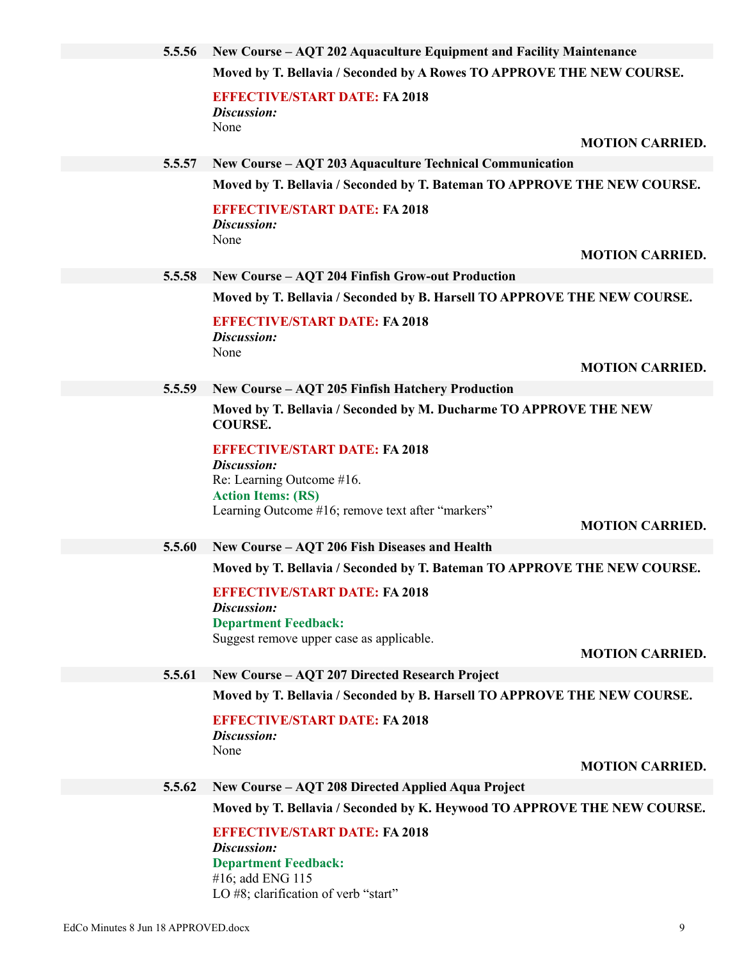| 5.5.56 | New Course – AQT 202 Aquaculture Equipment and Facility Maintenance                                      |
|--------|----------------------------------------------------------------------------------------------------------|
|        | Moved by T. Bellavia / Seconded by A Rowes TO APPROVE THE NEW COURSE.                                    |
|        | <b>EFFECTIVE/START DATE: FA 2018</b>                                                                     |
|        | Discussion:<br>None                                                                                      |
|        | <b>MOTION CARRIED.</b>                                                                                   |
| 5.5.57 | New Course - AQT 203 Aquaculture Technical Communication                                                 |
|        | Moved by T. Bellavia / Seconded by T. Bateman TO APPROVE THE NEW COURSE.                                 |
|        | <b>EFFECTIVE/START DATE: FA 2018</b><br>Discussion:<br>None                                              |
|        | <b>MOTION CARRIED.</b>                                                                                   |
| 5.5.58 | <b>New Course - AQT 204 Finfish Grow-out Production</b>                                                  |
|        | Moved by T. Bellavia / Seconded by B. Harsell TO APPROVE THE NEW COURSE.                                 |
|        | <b>EFFECTIVE/START DATE: FA 2018</b><br>Discussion:<br>None                                              |
|        | <b>MOTION CARRIED.</b>                                                                                   |
| 5.5.59 | New Course – AQT 205 Finfish Hatchery Production                                                         |
|        | Moved by T. Bellavia / Seconded by M. Ducharme TO APPROVE THE NEW<br><b>COURSE.</b>                      |
|        | <b>EFFECTIVE/START DATE: FA 2018</b><br>Discussion:<br>Re: Learning Outcome #16.                         |
|        | <b>Action Items: (RS)</b><br>Learning Outcome #16; remove text after "markers"<br><b>MOTION CARRIED.</b> |
| 5.5.60 | New Course - AQT 206 Fish Diseases and Health                                                            |
|        | Moved by T. Bellavia / Seconded by T. Bateman TO APPROVE THE NEW COURSE.                                 |
|        | <b>EFFECTIVE/START DATE: FA 2018</b><br>Discussion:<br><b>Department Feedback:</b>                       |
|        | Suggest remove upper case as applicable.<br><b>MOTION CARRIED.</b>                                       |
| 5.5.61 | New Course - AQT 207 Directed Research Project                                                           |
|        | Moved by T. Bellavia / Seconded by B. Harsell TO APPROVE THE NEW COURSE.                                 |
|        | <b>EFFECTIVE/START DATE: FA 2018</b><br>Discussion:<br>None                                              |
|        | <b>MOTION CARRIED.</b>                                                                                   |
| 5.5.62 | New Course – AQT 208 Directed Applied Aqua Project                                                       |
|        | Moved by T. Bellavia / Seconded by K. Heywood TO APPROVE THE NEW COURSE.                                 |
|        | <b>EFFECTIVE/START DATE: FA 2018</b><br>Discussion:                                                      |
|        | <b>Department Feedback:</b><br>#16; add ENG 115                                                          |

LO #8; clarification of verb "start"